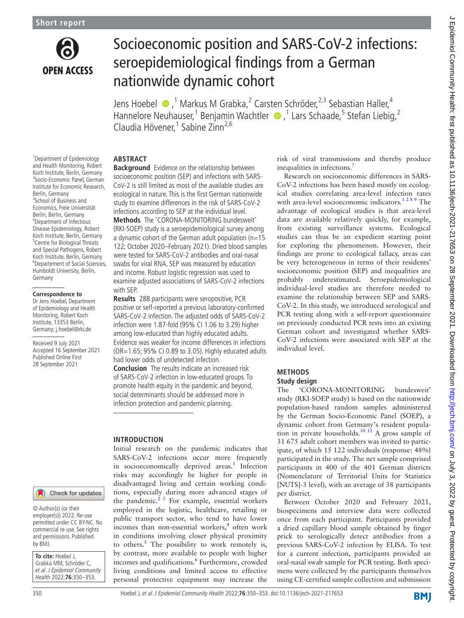

# Socioeconomic position and SARS-CoV-2 infections: seroepidemiological findings from a German nationwide dynamic cohort

Jens Hoebel  $\bullet$ ,<sup>1</sup> Markus M Grabka,<sup>2</sup> Carsten Schröder,<sup>2,3</sup> Sebastian Haller,<sup>4</sup> HanneloreNeuhauser,<sup>1</sup> Benjamin Wachtler (D, <sup>1</sup> Lars Schaade,<sup>5</sup> Stefan Liebig,<sup>2</sup> Claudia Hövener,<sup>1</sup> Sabine Zinn<sup>2,6</sup>

## **ABSTRACT**

<sup>1</sup> Department of Epidemiology and Health Monitoring, Robert Koch Institute, Berlin, Germany 2 Socio-Economic Panel, German Institute for Economic Research, Berlin, Germany <sup>3</sup>School of Business and Economics, Freie Universität Berlin, Berlin, Germany 4 Department of Infectious Disease Epidemiology, Robert Koch Institute, Berlin, Germany <sup>5</sup> Centre for Biological Threats and Special Pathogens, Robert Koch Institute, Berlin, Germany 6 Departement of Social Sciences, Humboldt University, Berlin, Germany

#### **Correspondence to**

Dr Jens Hoebel, Department of Epidemiology and Health Monitoring, Robert Koch Institute, 13353 Berlin, Germany; j.hoebel@rki.de

Received 9 July 2021 Accepted 16 September 2021 Published Online First 28 September 2021



© Author(s) (or their employer(s)) 2022. Re-use permitted under CC BY-NC. No commercial re-use. See rights and permissions. Published by BMJ.

**To cite:** Hoebel J, Grabka MM, Schröder C, et al. J Epidemiol Community Health 2022;**76**:350–353.

**Background** Evidence on the relationship between socioeconomic position (SEP) and infections with SARS-CoV-2 is still limited as most of the available studies are ecological in nature. This is the first German nationwide study to examine differences in the risk of SARS-CoV-2 infections according to SEP at the individual level. **Methods** The 'CORONA-MONITORING bundesweit' (RKI-SOEP) study is a seroepidemiological survey among a dynamic cohort of the German adult population (n=15 122; October 2020–February 2021). Dried blood samples were tested for SARS-CoV-2 antibodies and oral-nasal swabs for viral RNA. SEP was measured by education and income. Robust logistic regression was used to examine adjusted associations of SARS-CoV-2 infections with SEP.

**Results** 288 participants were seropositive, PCR positive or self-reported a previous laboratory-confirmed SARS-CoV-2 infection. The adjusted odds of SARS-CoV-2 infection were 1.87-fold (95% CI 1.06 to 3.29) higher among low-educated than highly educated adults. Evidence was weaker for income differences in infections (OR=1.65; 95% CI 0.89 to 3.05). Highly educated adults had lower odds of undetected infection.

**Conclusion** The results indicate an increased risk of SARS-CoV-2 infection in low-educated groups. To promote health equity in the pandemic and beyond, social determinants should be addressed more in infection protection and pandemic planning.

# **INTRODUCTION**

Initial research on the pandemic indicates that SARS-CoV-2 infections occur more frequently in socioeconomically deprived areas.<sup>[1](#page-3-0)</sup> Infection risks may accordingly be higher for people in disadvantaged living and certain working conditions, especially during more advanced stages of the pandemic. $2<sup>3</sup>$  For example, essential workers employed in the logistic, healthcare, retailing or public transport sector, who tend to have lower incomes than non-essential workers,<sup>4</sup> often work in conditions involving closer physical proximity to others.<sup>[5](#page-3-3)</sup> The possibility to work remotely is, by contrast, more available to people with higher incomes and qualifications.<sup>6</sup> Furthermore, crowded living conditions and limited access to effective personal protective equipment may increase the

risk of viral transmissions and thereby produce inequalities in infections.<sup>[7](#page-3-5)</sup>

Research on socioeconomic differences in SARS-CoV-2 infections has been based mostly on ecological studies correlating area-level infection rates with area-level socioeconomic indicators.<sup>1289</sup> The advantage of ecological studies is that area-level data are available relatively quickly, for example, from existing surveillance systems. Ecological studies can thus be an expedient starting point for exploring the phenomenon. However, their findings are prone to ecological fallacy, areas can be very heterogeneous in terms of their residents' socioeconomic position (SEP) and inequalities are probably underestimated. Seroepidemiological individual-level studies are therefore needed to examine the relationship between SEP and SARS-CoV-2. In this study, we introduced serological and PCR testing along with a self-report questionnaire on previously conducted PCR tests into an existing German cohort and investigated whether SARS-CoV-2 infections were associated with SEP at the individual level.

# **METHODS**

## **Study design**

The 'CORONA-MONITORING bundesweit' study (RKI-SOEP study) is based on the nationwide population-based random samples administered by the German Socio-Economic Panel (SOEP), a dynamic cohort from Germany's resident popula-tion in private households.<sup>[10 11](#page-3-6)</sup> A gross sample of 31 675 adult cohort members was invited to participate, of which 15 122 individuals (response: 48%) participated in the study. The net sample comprised participants in 400 of the 401 German districts (Nomenclature of Territorial Units for Statistics [NUTS]-3 level), with an average of 38 participants per district.

Between October 2020 and February 2021, biospecimens and interview data were collected once from each participant. Participants provided a dried capillary blood sample obtained by finger prick to serologically detect antibodies from a previous SARS-CoV-2 infection by ELISA. To test for a current infection, participants provided an oral-nasal swab sample for PCR testing. Both specimens were collected by the participants themselves using CE-certified sample collection and submission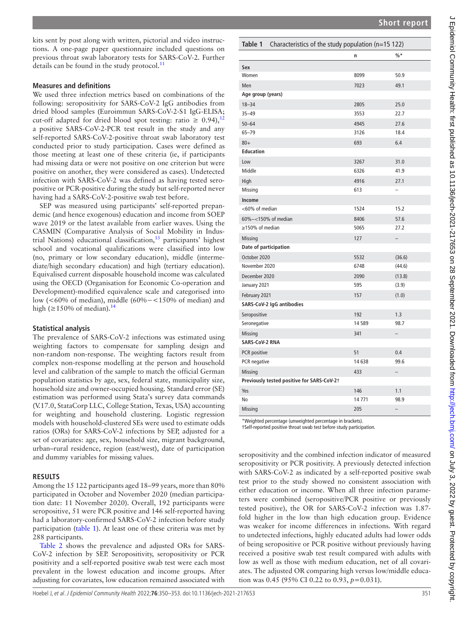kits sent by post along with written, pictorial and video instructions. A one-page paper questionnaire included questions on previous throat swab laboratory tests for SARS-CoV-2. Further details can be found in the study protocol. $^{11}$  $^{11}$  $^{11}$ 

#### **Measures and definitions**

We used three infection metrics based on combinations of the following: seropositivity for SARS-CoV-2 IgG antibodies from dried blood samples (Euroimmun SARS-CoV-2-S1 IgG-ELISA; cut-off adapted for dried blood spot testing: ratio  $\geq 0.94$ ,<sup>[12](#page-3-8)</sup> a positive SARS-CoV-2-PCR test result in the study and any self-reported SARS-CoV-2-positive throat swab laboratory test conducted prior to study participation. Cases were defined as those meeting at least one of these criteria (ie, if participants had missing data or were not positive on one criterion but were positive on another, they were considered as cases). Undetected infection with SARS-CoV-2 was defined as having tested seropositive or PCR-positive during the study but self-reported never having had a SARS-CoV-2-positive swab test before.

SEP was measured using participants' self-reported prepandemic (and hence exogenous) education and income from SOEP wave 2019 or the latest available from earlier waves. Using the CASMIN (Comparative Analysis of Social Mobility in Industrial Nations) educational classification, $13$  participants' highest school and vocational qualifications were classified into low (no, primary or low secondary education), middle (intermediate/high secondary education) and high (tertiary education). Equivalised current disposable household income was calculated using the OECD (Organisation for Economic Co-operation and Development)-modified equivalence scale and categorised into low (<60% of median), middle (60%−<150% of median) and high ( $\geq$ 150% of median).<sup>[14](#page-3-10)</sup>

## **Statistical analysis**

The prevalence of SARS-CoV-2 infections was estimated using weighting factors to compensate for sampling design and non-random non-response. The weighting factors result from complex non-response modelling at the person and household level and calibration of the sample to match the official German population statistics by age, sex, federal state, municipality size, household size and owner-occupied housing. Standard error (SE) estimation was performed using Stata's survey data commands (V.17.0, StataCorp LLC, College Station, Texas, USA) accounting for weighting and household clustering. Logistic regression models with household-clustered SEs were used to estimate odds ratios (ORs) for SARS-CoV-2 infections by SEP, adjusted for a set of covariates: age, sex, household size, migrant background, urban–rural residence, region (east/west), date of participation and dummy variables for missing values.

## **RESULTS**

Among the 15 122 participants aged 18–99 years, more than 80% participated in October and November 2020 (median participation date: 11 November 2020). Overall, 192 participants were seropositive, 51 were PCR positive and 146 self-reported having had a laboratory-confirmed SARS-CoV-2 infection before study participation [\(table](#page-1-0) 1). At least one of these criteria was met by 288 participants.

[Table](#page-2-0) 2 shows the prevalence and adjusted ORs for SARS-CoV-2 infection by SEP. Seropositivity, seropositivity or PCR positivity and a self-reported positive swab test were each most prevalent in the lowest education and income groups. After adjusting for covariates, low education remained associated with

<span id="page-1-0"></span>

| Characteristics of the study population (n=15 122)<br>Table 1                                                                     |          |        |  |  |
|-----------------------------------------------------------------------------------------------------------------------------------|----------|--------|--|--|
|                                                                                                                                   | n        | $\% *$ |  |  |
| Sex                                                                                                                               |          |        |  |  |
| Women                                                                                                                             | 8099     | 50.9   |  |  |
| Men                                                                                                                               | 7023     | 49.1   |  |  |
| Age group (years)                                                                                                                 |          |        |  |  |
| $18 - 34$                                                                                                                         | 2805     | 25.0   |  |  |
| $35 - 49$                                                                                                                         | 3553     | 22.7   |  |  |
| $50 - 64$                                                                                                                         | 4945     | 27.6   |  |  |
| $65 - 79$                                                                                                                         | 3126     | 18.4   |  |  |
| $80+$                                                                                                                             | 693      | 6.4    |  |  |
| <b>Education</b>                                                                                                                  |          |        |  |  |
| Low                                                                                                                               | 3267     | 31.0   |  |  |
| Middle                                                                                                                            | 6326     | 41.9   |  |  |
| High                                                                                                                              | 4916     | 27.1   |  |  |
| Missing                                                                                                                           | 613      |        |  |  |
| Income                                                                                                                            |          |        |  |  |
| <60% of median                                                                                                                    | 1524     | 15.2   |  |  |
| 60%-<150% of median                                                                                                               | 8406     | 57.6   |  |  |
| ≥150% of median                                                                                                                   | 5065     | 27.2   |  |  |
| <b>Missing</b>                                                                                                                    | 127      |        |  |  |
| Date of participation                                                                                                             |          |        |  |  |
| October 2020                                                                                                                      | 5532     | (36.6) |  |  |
| November 2020                                                                                                                     | 6748     | (44.6) |  |  |
| December 2020                                                                                                                     | 2090     | (13.8) |  |  |
| January 2021                                                                                                                      | 595      | (3.9)  |  |  |
| February 2021                                                                                                                     | 157      | (1.0)  |  |  |
| SARS-CoV-2 IgG antibodies                                                                                                         |          |        |  |  |
| Seropositive                                                                                                                      | 192      | 1.3    |  |  |
| Seronegative                                                                                                                      | 14 5 8 9 | 98.7   |  |  |
| <b>Missing</b>                                                                                                                    | 341      |        |  |  |
| SARS-CoV-2 RNA                                                                                                                    |          |        |  |  |
| PCR positive                                                                                                                      | 51       | 0.4    |  |  |
| PCR negative                                                                                                                      | 14 638   | 99.6   |  |  |
| Missing                                                                                                                           | 433      |        |  |  |
| Previously tested positive for SARS-CoV-2+                                                                                        |          |        |  |  |
| Yes                                                                                                                               | 146      | 1.1    |  |  |
| No                                                                                                                                | 14771    | 98.9   |  |  |
| <b>Missing</b>                                                                                                                    | 205      |        |  |  |
| *Weighted percentage (unweighted percentage in brackets).<br>tSelf-reported positive throat swab test before study participation. |          |        |  |  |

seropositivity and the combined infection indicator of measured seropositivity or PCR positivity. A previously detected infection with SARS-CoV-2 as indicated by a self-reported positive swab test prior to the study showed no consistent association with either education or income. When all three infection parameters were combined (seropositive/PCR positive or previously tested positive), the OR for SARS-CoV-2 infection was 1.87 fold higher in the low than high education group. Evidence was weaker for income differences in infections. With regard to undetected infections, highly educated adults had lower odds of being seropositive or PCR positive without previously having received a positive swab test result compared with adults with low as well as those with medium education, net of all covariates. The adjusted OR comparing high versus low/middle education was 0.45 (95% CI 0.22 to 0.93, *p=*0.031).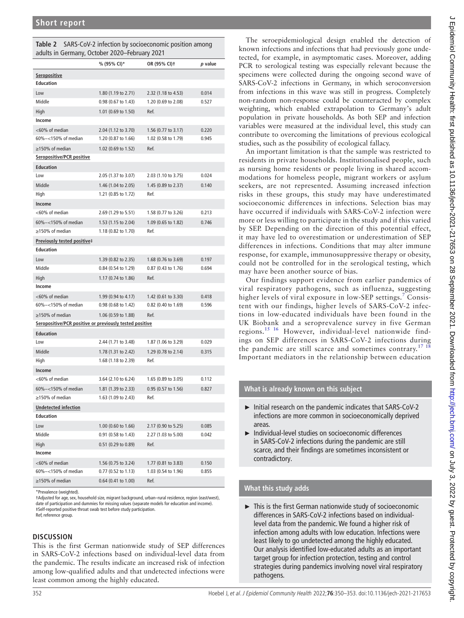<span id="page-2-0"></span>

| Table 2 SARS-CoV-2 infection by socioeconomic position among |
|--------------------------------------------------------------|
| adults in Germany, October 2020–February 2021                |

| aaano in ochhany,                                       | OCLODER LOLD TEDIOGRY LOL I                |                     |         |
|---------------------------------------------------------|--------------------------------------------|---------------------|---------|
|                                                         | % (95% CI)*                                | OR (95% CI)+        | p value |
| Seropositive                                            |                                            |                     |         |
| <b>Education</b>                                        |                                            |                     |         |
| Low                                                     | 1.80 (1.19 to 2.71)                        | 2.32 (1.18 to 4.53) | 0.014   |
| Middle                                                  | 0.98 (0.67 to 1.43)                        | 1.20 (0.69 to 2.08) | 0.527   |
| High                                                    | 1.01 (0.69 to 1.50)                        | Ref.                |         |
| Income                                                  |                                            |                     |         |
| <60% of median                                          | 2.04 (1.12 to 3.70)                        | 1.56 (0.77 to 3.17) | 0.220   |
| 60%-<150% of median                                     | 1.20 (0.87 to 1.66)                        | 1.02 (0.58 to 1.79) | 0.945   |
| $\geq$ 150% of median                                   | 1.02 (0.69 to 1.52)                        | Ref.                |         |
| Seropositive/PCR positive                               |                                            |                     |         |
| <b>Education</b>                                        |                                            |                     |         |
| Low                                                     | 2.05 (1.37 to 3.07)                        | 2.03 (1.10 to 3.75) | 0.024   |
| Middle                                                  | 1.46 (1.04 to 2.05)                        | 1.45 (0.89 to 2.37) | 0.140   |
| High                                                    | 1.21 (0.85 to 1.72)                        | Ref.                |         |
| Income                                                  |                                            |                     |         |
| <60% of median                                          | 2.69 (1.29 to 5.51)                        | 1.58 (0.77 to 3.26) | 0.213   |
| 60%-<150% of median                                     | 1.53 (1.15 to 2.04)                        | 1.09 (0.65 to 1.82) | 0.746   |
| $\geq$ 150% of median                                   | 1.18 (0.82 to 1.70)                        | Ref.                |         |
| Previously tested positive‡                             |                                            |                     |         |
| <b>Education</b>                                        |                                            |                     |         |
| Low                                                     | 1.39 (0.82 to 2.35)                        | 1.68 (0.76 to 3.69) | 0.197   |
| Middle                                                  | 0.84 (0.54 to 1.29)                        | 0.87 (0.43 to 1.76) | 0.694   |
| High                                                    | 1.17 (0.74 to 1.86)                        | Ref.                |         |
| Income                                                  |                                            |                     |         |
| <60% of median                                          |                                            | 1.42 (0.61 to 3.30) | 0.418   |
| 60%-<150% of median                                     | 1.99 (0.94 to 4.17)<br>0.98 (0.68 to 1.42) | 0.82 (0.40 to 1.69) | 0.596   |
|                                                         |                                            |                     |         |
| $\geq$ 150% of median                                   | 1.06 (0.59 to 1.88)                        | Ref.                |         |
| Seropositive/PCR positive or previously tested positive |                                            |                     |         |
| <b>Education</b>                                        |                                            |                     |         |
| Low                                                     | 2.44 (1.71 to 3.48)                        | 1.87 (1.06 to 3.29) | 0.029   |
| Middle                                                  | 1.78 (1.31 to 2.42)                        | 1.29 (0.78 to 2.14) | 0.315   |
| High                                                    | 1.68 (1.18 to 2.39)                        | Ref.                |         |
| Income                                                  |                                            |                     |         |
| <60% of median                                          | 3.64 (2.10 to 6.24)                        | 1.65 (0.89 to 3.05) | 0.112   |
| 60%-<150% of median                                     | 1.81 (1.39 to 2.33)                        | 0.95 (0.57 to 1.56) | 0.827   |
| >150% of median                                         | 1.63 (1.09 to 2.43)                        | Ref.                |         |
| <b>Undetected infection</b>                             |                                            |                     |         |
| <b>Education</b>                                        |                                            |                     |         |
| Low                                                     | 1.00 (0.60 to 1.66)                        | 2.17 (0.90 to 5.25) | 0.085   |
| Middle                                                  | 0.91 (0.58 to 1.43)                        | 2.27 (1.03 to 5.00) | 0.042   |
| High                                                    | 0.51 (0.29 to 0.89)                        | Ref.                |         |
| Income                                                  |                                            |                     |         |
| <60% of median                                          | 1.56 (0.75 to 3.24)                        | 1.77 (0.81 to 3.83) | 0.150   |
| 60%-<150% of median                                     | 0.77 (0.52 to 1.13)                        | 1.03 (0.54 to 1.96) | 0.855   |
| >150% of median                                         | 0.64 (0.41 to 1.00)                        | Ref.                |         |

\*Prevalence (weighted).

†Adjusted for age, sex, household size, migrant background, urban–rural residence, region (east/west), date of participation and dummies for missing values (separate models for education and income). ‡Self-reported positive throat swab test before study participation. Ref, reference group.

#### **DISCUSSION**

This is the first German nationwide study of SEP differences in SARS-CoV-2 infections based on individual-level data from the pandemic. The results indicate an increased risk of infection among low-qualified adults and that undetected infections were least common among the highly educated.

The seroepidemiological design enabled the detection of known infections and infections that had previously gone undetected, for example, in asymptomatic cases. Moreover, adding PCR to serological testing was especially relevant because the specimens were collected during the ongoing second wave of SARS-CoV-2 infections in Germany, in which seroconversion from infections in this wave was still in progress. Completely non-random non-response could be counteracted by complex weighting, which enabled extrapolation to Germany's adult population in private households. As both SEP and infection variables were measured at the individual level, this study can contribute to overcoming the limitations of previous ecological studies, such as the possibility of ecological fallacy.

An important limitation is that the sample was restricted to residents in private households. Institutionalised people, such as nursing home residents or people living in shared accommodations for homeless people, migrant workers or asylum seekers, are not represented. Assuming increased infection risks in these groups, this study may have underestimated socioeconomic differences in infections. Selection bias may have occurred if individuals with SARS-CoV-2 infection were more or less willing to participate in the study and if this varied by SEP. Depending on the direction of this potential effect, it may have led to overestimation or underestimation of SEP differences in infections. Conditions that may alter immune response, for example, immunosuppressive therapy or obesity, could not be controlled for in the serological testing, which may have been another source of bias.

Our findings support evidence from earlier pandemics of viral respiratory pathogens, such as influenza, suggesting higher levels of viral exposure in low-SEP settings.<sup>[7](#page-3-5)</sup> Consistent with our findings, higher levels of SARS-CoV-2 infections in low-educated individuals have been found in the UK Biobank and a seroprevalence survey in five German regions.[15 16](#page-3-11) However, individual-level nationwide findings on SEP differences in SARS-CoV-2 infections during the pandemic are still scarce and sometimes contrary.<sup>[17 18](#page-3-12)</sup> Important mediators in the relationship between education

## **What is already known on this subject**

- ► Initial research on the pandemic indicates that SARS-CoV-2 infections are more common in socioeconomically deprived areas.
- ► Individual-level studies on socioeconomic differences in SARS-CoV-2 infections during the pandemic are still scarce, and their findings are sometimes inconsistent or contradictory.

# **What this study adds**

 $\blacktriangleright$  This is the first German nationwide study of socioeconomic differences in SARS-CoV-2 infections based on individuallevel data from the pandemic. We found a higher risk of infection among adults with low education. Infections were least likely to go undetected among the highly educated. Our analysis identified low-educated adults as an important target group for infection protection, testing and control strategies during pandemics involving novel viral respiratory pathogens.